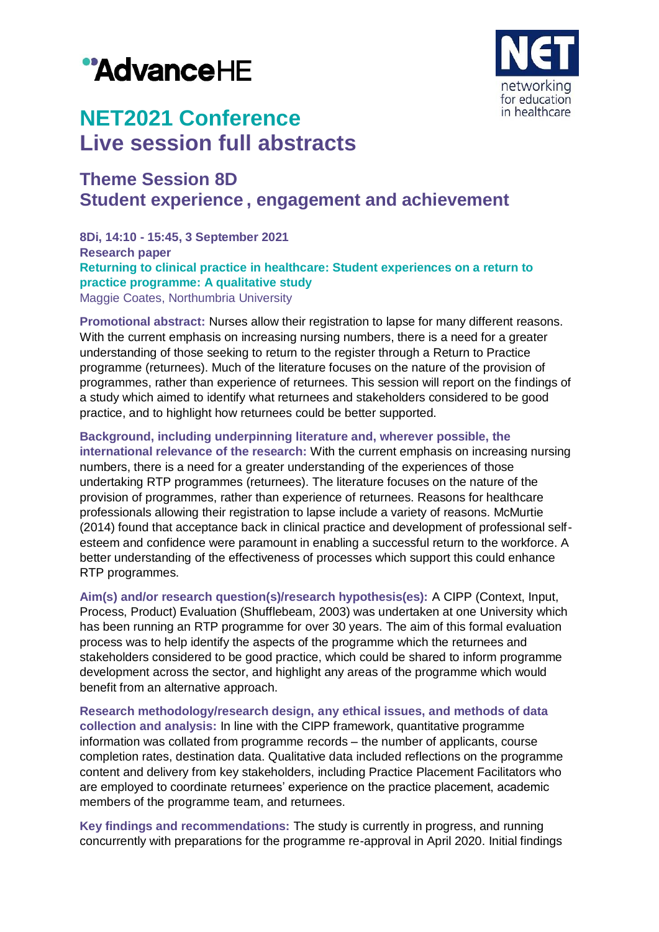



# **NET2021 Conference Live session full abstracts**

# **Theme Session 8D Student experience , engagement and achievement**

**8Di, 14:10 - 15:45, 3 September 2021 Research paper Returning to clinical practice in healthcare: Student experiences on a return to practice programme: A qualitative study** Maggie Coates, Northumbria University

**Promotional abstract:** Nurses allow their registration to lapse for many different reasons. With the current emphasis on increasing nursing numbers, there is a need for a greater understanding of those seeking to return to the register through a Return to Practice programme (returnees). Much of the literature focuses on the nature of the provision of programmes, rather than experience of returnees. This session will report on the findings of a study which aimed to identify what returnees and stakeholders considered to be good practice, and to highlight how returnees could be better supported.

**Background, including underpinning literature and, wherever possible, the international relevance of the research:** With the current emphasis on increasing nursing numbers, there is a need for a greater understanding of the experiences of those undertaking RTP programmes (returnees). The literature focuses on the nature of the provision of programmes, rather than experience of returnees. Reasons for healthcare professionals allowing their registration to lapse include a variety of reasons. McMurtie (2014) found that acceptance back in clinical practice and development of professional selfesteem and confidence were paramount in enabling a successful return to the workforce. A better understanding of the effectiveness of processes which support this could enhance RTP programmes.

**Aim(s) and/or research question(s)/research hypothesis(es):** A CIPP (Context, Input, Process, Product) Evaluation (Shufflebeam, 2003) was undertaken at one University which has been running an RTP programme for over 30 years. The aim of this formal evaluation process was to help identify the aspects of the programme which the returnees and stakeholders considered to be good practice, which could be shared to inform programme development across the sector, and highlight any areas of the programme which would benefit from an alternative approach.

**Research methodology/research design, any ethical issues, and methods of data collection and analysis:** In line with the CIPP framework, quantitative programme information was collated from programme records – the number of applicants, course completion rates, destination data. Qualitative data included reflections on the programme content and delivery from key stakeholders, including Practice Placement Facilitators who are employed to coordinate returnees' experience on the practice placement, academic members of the programme team, and returnees.

**Key findings and recommendations:** The study is currently in progress, and running concurrently with preparations for the programme re-approval in April 2020. Initial findings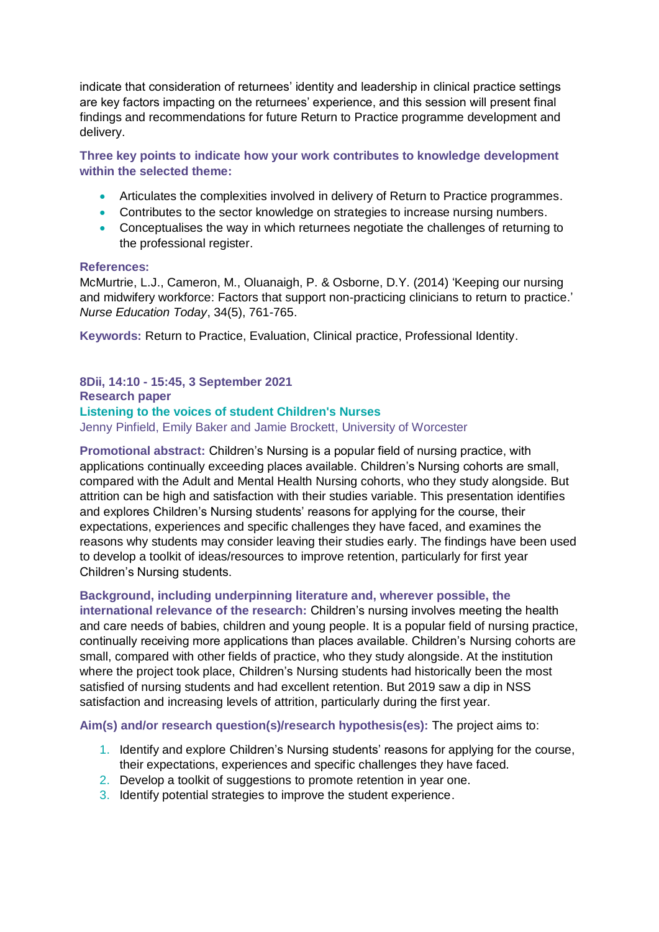indicate that consideration of returnees' identity and leadership in clinical practice settings are key factors impacting on the returnees' experience, and this session will present final findings and recommendations for future Return to Practice programme development and delivery.

**Three key points to indicate how your work contributes to knowledge development within the selected theme:**

- Articulates the complexities involved in delivery of Return to Practice programmes.
- Contributes to the sector knowledge on strategies to increase nursing numbers.
- Conceptualises the way in which returnees negotiate the challenges of returning to the professional register.

#### **References:**

McMurtrie, L.J., Cameron, M., Oluanaigh, P. & Osborne, D.Y. (2014) 'Keeping our nursing and midwifery workforce: Factors that support non-practicing clinicians to return to practice.' *Nurse Education Today*, 34(5), 761-765.

**Keywords:** Return to Practice, Evaluation, Clinical practice, Professional Identity.

# **8Dii, 14:10 - 15:45, 3 September 2021**

**Research paper Listening to the voices of student Children's Nurses**

Jenny Pinfield, Emily Baker and Jamie Brockett, University of Worcester

**Promotional abstract:** Children's Nursing is a popular field of nursing practice, with applications continually exceeding places available. Children's Nursing cohorts are small, compared with the Adult and Mental Health Nursing cohorts, who they study alongside. But attrition can be high and satisfaction with their studies variable. This presentation identifies and explores Children's Nursing students' reasons for applying for the course, their expectations, experiences and specific challenges they have faced, and examines the reasons why students may consider leaving their studies early. The findings have been used to develop a toolkit of ideas/resources to improve retention, particularly for first year Children's Nursing students.

## **Background, including underpinning literature and, wherever possible, the**

**international relevance of the research:** Children's nursing involves meeting the health and care needs of babies, children and young people. It is a popular field of nursing practice, continually receiving more applications than places available. Children's Nursing cohorts are small, compared with other fields of practice, who they study alongside. At the institution where the project took place, Children's Nursing students had historically been the most satisfied of nursing students and had excellent retention. But 2019 saw a dip in NSS satisfaction and increasing levels of attrition, particularly during the first year.

**Aim(s) and/or research question(s)/research hypothesis(es):** The project aims to:

- 1. Identify and explore Children's Nursing students' reasons for applying for the course, their expectations, experiences and specific challenges they have faced.
- 2. Develop a toolkit of suggestions to promote retention in year one.
- 3. Identify potential strategies to improve the student experience.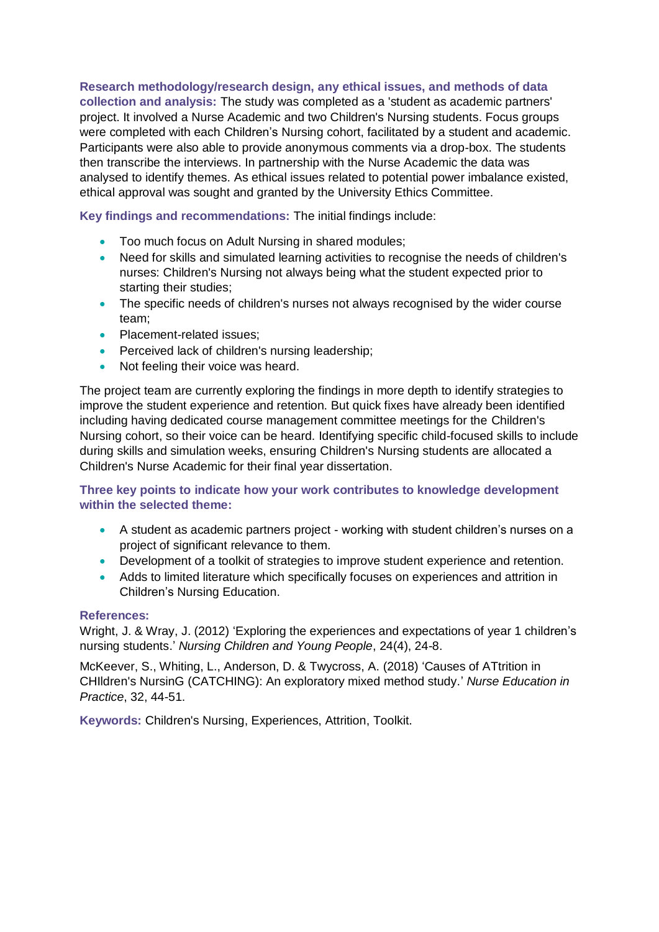**Research methodology/research design, any ethical issues, and methods of data collection and analysis:** The study was completed as a 'student as academic partners' project. It involved a Nurse Academic and two Children's Nursing students. Focus groups were completed with each Children's Nursing cohort, facilitated by a student and academic. Participants were also able to provide anonymous comments via a drop-box. The students then transcribe the interviews. In partnership with the Nurse Academic the data was analysed to identify themes. As ethical issues related to potential power imbalance existed, ethical approval was sought and granted by the University Ethics Committee.

**Key findings and recommendations:** The initial findings include:

- Too much focus on Adult Nursing in shared modules;
- Need for skills and simulated learning activities to recognise the needs of children's nurses: Children's Nursing not always being what the student expected prior to starting their studies:
- The specific needs of children's nurses not always recognised by the wider course team;
- Placement-related issues:
- Perceived lack of children's nursing leadership;
- Not feeling their voice was heard.

The project team are currently exploring the findings in more depth to identify strategies to improve the student experience and retention. But quick fixes have already been identified including having dedicated course management committee meetings for the Children's Nursing cohort, so their voice can be heard. Identifying specific child-focused skills to include during skills and simulation weeks, ensuring Children's Nursing students are allocated a Children's Nurse Academic for their final year dissertation.

# **Three key points to indicate how your work contributes to knowledge development within the selected theme:**

- A student as academic partners project working with student children's nurses on a project of significant relevance to them.
- Development of a toolkit of strategies to improve student experience and retention.
- Adds to limited literature which specifically focuses on experiences and attrition in Children's Nursing Education.

## **References:**

Wright, J. & Wray, J. (2012) 'Exploring the experiences and expectations of year 1 children's nursing students.' *Nursing Children and Young People*, 24(4), 24-8.

McKeever, S., Whiting, L., Anderson, D. & Twycross, A. (2018) 'Causes of ATtrition in CHIldren's NursinG (CATCHING): An exploratory mixed method study.' *Nurse Education in Practice*, 32, 44-51.

**Keywords:** Children's Nursing, Experiences, Attrition, Toolkit.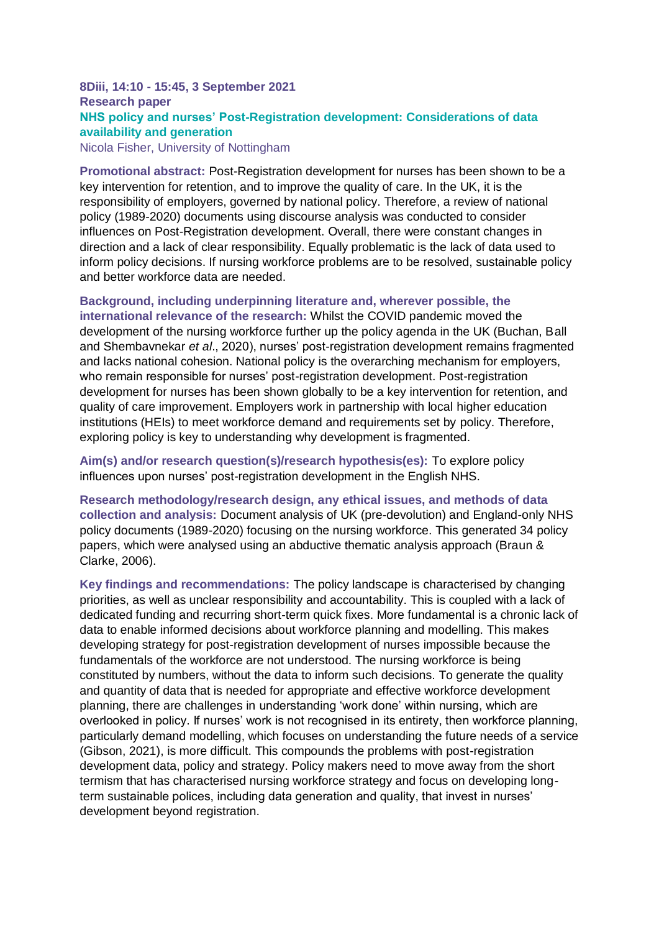# **8Diii, 14:10 - 15:45, 3 September 2021 Research paper NHS policy and nurses' Post-Registration development: Considerations of data availability and generation**

Nicola Fisher, University of Nottingham

**Promotional abstract:** Post-Registration development for nurses has been shown to be a key intervention for retention, and to improve the quality of care. In the UK, it is the responsibility of employers, governed by national policy. Therefore, a review of national policy (1989-2020) documents using discourse analysis was conducted to consider influences on Post-Registration development. Overall, there were constant changes in direction and a lack of clear responsibility. Equally problematic is the lack of data used to inform policy decisions. If nursing workforce problems are to be resolved, sustainable policy and better workforce data are needed.

**Background, including underpinning literature and, wherever possible, the international relevance of the research:** Whilst the COVID pandemic moved the development of the nursing workforce further up the policy agenda in the UK (Buchan, Ball and Shembavnekar *et al*., 2020), nurses' post-registration development remains fragmented and lacks national cohesion. National policy is the overarching mechanism for employers, who remain responsible for nurses' post-registration development. Post-registration development for nurses has been shown globally to be a key intervention for retention, and quality of care improvement. Employers work in partnership with local higher education institutions (HEIs) to meet workforce demand and requirements set by policy. Therefore, exploring policy is key to understanding why development is fragmented.

**Aim(s) and/or research question(s)/research hypothesis(es):** To explore policy influences upon nurses' post-registration development in the English NHS.

**Research methodology/research design, any ethical issues, and methods of data collection and analysis:** Document analysis of UK (pre-devolution) and England-only NHS policy documents (1989-2020) focusing on the nursing workforce. This generated 34 policy papers, which were analysed using an abductive thematic analysis approach (Braun & Clarke, 2006).

**Key findings and recommendations:** The policy landscape is characterised by changing priorities, as well as unclear responsibility and accountability. This is coupled with a lack of dedicated funding and recurring short-term quick fixes. More fundamental is a chronic lack of data to enable informed decisions about workforce planning and modelling. This makes developing strategy for post-registration development of nurses impossible because the fundamentals of the workforce are not understood. The nursing workforce is being constituted by numbers, without the data to inform such decisions. To generate the quality and quantity of data that is needed for appropriate and effective workforce development planning, there are challenges in understanding 'work done' within nursing, which are overlooked in policy. If nurses' work is not recognised in its entirety, then workforce planning, particularly demand modelling, which focuses on understanding the future needs of a service (Gibson, 2021), is more difficult. This compounds the problems with post-registration development data, policy and strategy. Policy makers need to move away from the short termism that has characterised nursing workforce strategy and focus on developing longterm sustainable polices, including data generation and quality, that invest in nurses' development beyond registration.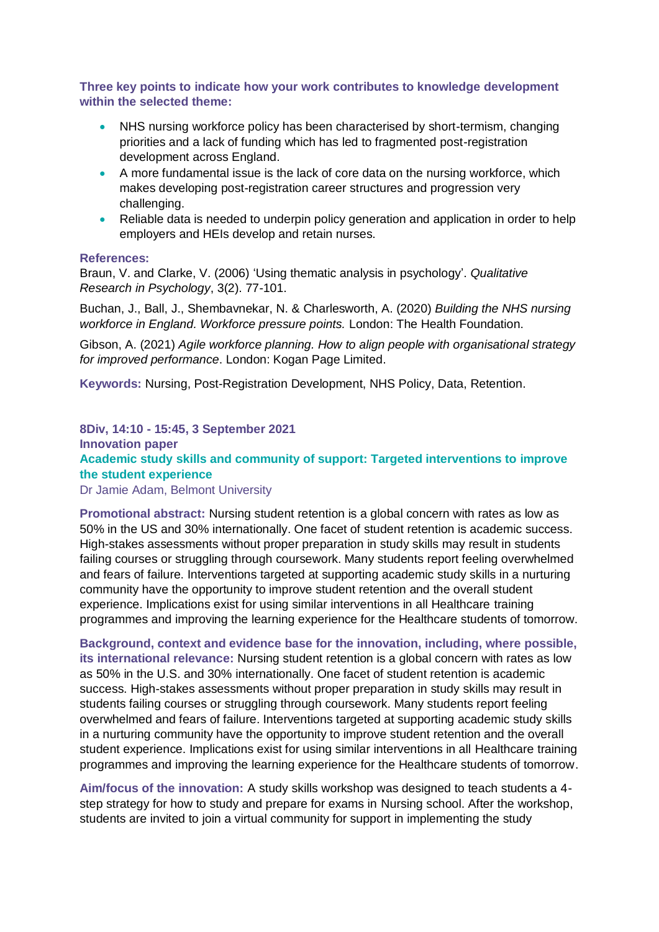**Three key points to indicate how your work contributes to knowledge development within the selected theme:**

- NHS nursing workforce policy has been characterised by short-termism, changing priorities and a lack of funding which has led to fragmented post-registration development across England.
- A more fundamental issue is the lack of core data on the nursing workforce, which makes developing post-registration career structures and progression very challenging.
- Reliable data is needed to underpin policy generation and application in order to help employers and HEIs develop and retain nurses.

#### **References:**

Braun, V. and Clarke, V. (2006) 'Using thematic analysis in psychology'. *Qualitative Research in Psychology*, 3(2). 77-101.

Buchan, J., Ball, J., Shembavnekar, N. & Charlesworth, A. (2020) *Building the NHS nursing workforce in England. Workforce pressure points.* London: The Health Foundation.

Gibson, A. (2021) *Agile workforce planning. How to align people with organisational strategy for improved performance*. London: Kogan Page Limited.

**Keywords:** Nursing, Post-Registration Development, NHS Policy, Data, Retention.

**8Div, 14:10 - 15:45, 3 September 2021 Innovation paper Academic study skills and community of support: Targeted interventions to improve the student experience**

Dr Jamie Adam, Belmont University

**Promotional abstract:** Nursing student retention is a global concern with rates as low as 50% in the US and 30% internationally. One facet of student retention is academic success. High-stakes assessments without proper preparation in study skills may result in students failing courses or struggling through coursework. Many students report feeling overwhelmed and fears of failure. Interventions targeted at supporting academic study skills in a nurturing community have the opportunity to improve student retention and the overall student experience. Implications exist for using similar interventions in all Healthcare training programmes and improving the learning experience for the Healthcare students of tomorrow.

**Background, context and evidence base for the innovation, including, where possible, its international relevance:** Nursing student retention is a global concern with rates as low as 50% in the U.S. and 30% internationally. One facet of student retention is academic success. High-stakes assessments without proper preparation in study skills may result in students failing courses or struggling through coursework. Many students report feeling overwhelmed and fears of failure. Interventions targeted at supporting academic study skills in a nurturing community have the opportunity to improve student retention and the overall student experience. Implications exist for using similar interventions in all Healthcare training programmes and improving the learning experience for the Healthcare students of tomorrow.

**Aim/focus of the innovation:** A study skills workshop was designed to teach students a 4 step strategy for how to study and prepare for exams in Nursing school. After the workshop, students are invited to join a virtual community for support in implementing the study